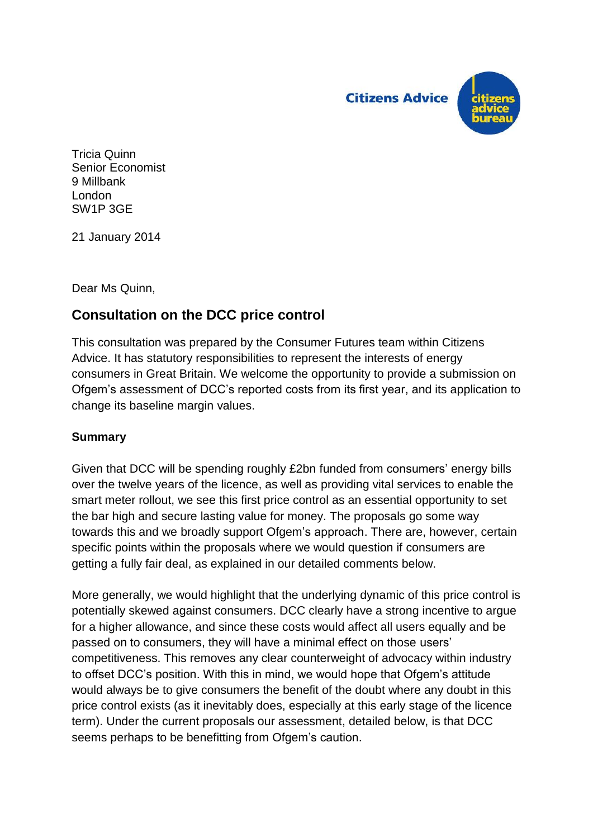

Tricia Quinn Senior Economist 9 Millbank London SW1P 3GE

21 January 2014

Dear Ms Quinn,

## **Consultation on the DCC price control**

This consultation was prepared by the Consumer Futures team within Citizens Advice. It has statutory responsibilities to represent the interests of energy consumers in Great Britain. We welcome the opportunity to provide a submission on Ofgem's assessment of DCC's reported costs from its first year, and its application to change its baseline margin values.

## **Summary**

Given that DCC will be spending roughly £2bn funded from consumers' energy bills over the twelve years of the licence, as well as providing vital services to enable the smart meter rollout, we see this first price control as an essential opportunity to set the bar high and secure lasting value for money. The proposals go some way towards this and we broadly support Ofgem's approach. There are, however, certain specific points within the proposals where we would question if consumers are getting a fully fair deal, as explained in our detailed comments below.

More generally, we would highlight that the underlying dynamic of this price control is potentially skewed against consumers. DCC clearly have a strong incentive to argue for a higher allowance, and since these costs would affect all users equally and be passed on to consumers, they will have a minimal effect on those users' competitiveness. This removes any clear counterweight of advocacy within industry to offset DCC's position. With this in mind, we would hope that Ofgem's attitude would always be to give consumers the benefit of the doubt where any doubt in this price control exists (as it inevitably does, especially at this early stage of the licence term). Under the current proposals our assessment, detailed below, is that DCC seems perhaps to be benefitting from Ofgem's caution.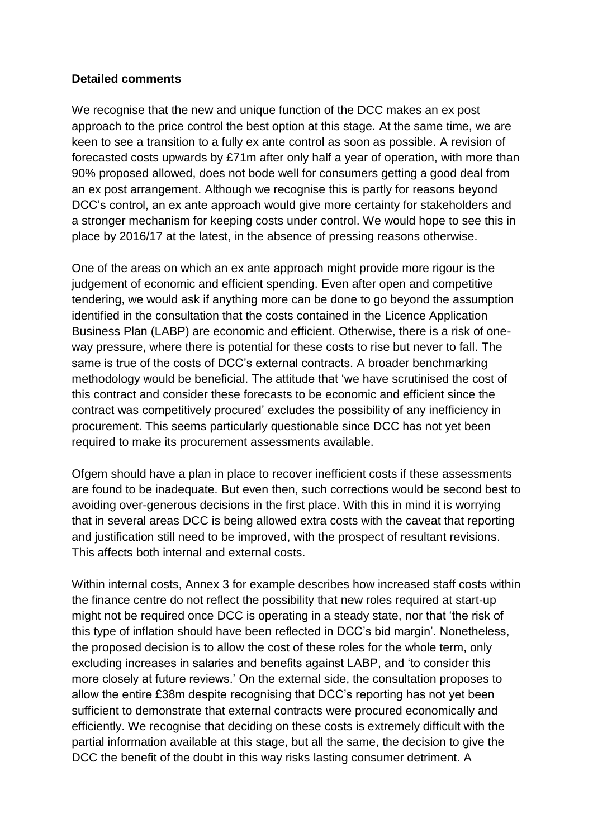## **Detailed comments**

We recognise that the new and unique function of the DCC makes an ex post approach to the price control the best option at this stage. At the same time, we are keen to see a transition to a fully ex ante control as soon as possible. A revision of forecasted costs upwards by £71m after only half a year of operation, with more than 90% proposed allowed, does not bode well for consumers getting a good deal from an ex post arrangement. Although we recognise this is partly for reasons beyond DCC's control, an ex ante approach would give more certainty for stakeholders and a stronger mechanism for keeping costs under control. We would hope to see this in place by 2016/17 at the latest, in the absence of pressing reasons otherwise.

One of the areas on which an ex ante approach might provide more rigour is the judgement of economic and efficient spending. Even after open and competitive tendering, we would ask if anything more can be done to go beyond the assumption identified in the consultation that the costs contained in the Licence Application Business Plan (LABP) are economic and efficient. Otherwise, there is a risk of oneway pressure, where there is potential for these costs to rise but never to fall. The same is true of the costs of DCC's external contracts. A broader benchmarking methodology would be beneficial. The attitude that 'we have scrutinised the cost of this contract and consider these forecasts to be economic and efficient since the contract was competitively procured' excludes the possibility of any inefficiency in procurement. This seems particularly questionable since DCC has not yet been required to make its procurement assessments available.

Ofgem should have a plan in place to recover inefficient costs if these assessments are found to be inadequate. But even then, such corrections would be second best to avoiding over-generous decisions in the first place. With this in mind it is worrying that in several areas DCC is being allowed extra costs with the caveat that reporting and justification still need to be improved, with the prospect of resultant revisions. This affects both internal and external costs.

Within internal costs, Annex 3 for example describes how increased staff costs within the finance centre do not reflect the possibility that new roles required at start-up might not be required once DCC is operating in a steady state, nor that 'the risk of this type of inflation should have been reflected in DCC's bid margin'. Nonetheless, the proposed decision is to allow the cost of these roles for the whole term, only excluding increases in salaries and benefits against LABP, and 'to consider this more closely at future reviews.' On the external side, the consultation proposes to allow the entire £38m despite recognising that DCC's reporting has not yet been sufficient to demonstrate that external contracts were procured economically and efficiently. We recognise that deciding on these costs is extremely difficult with the partial information available at this stage, but all the same, the decision to give the DCC the benefit of the doubt in this way risks lasting consumer detriment. A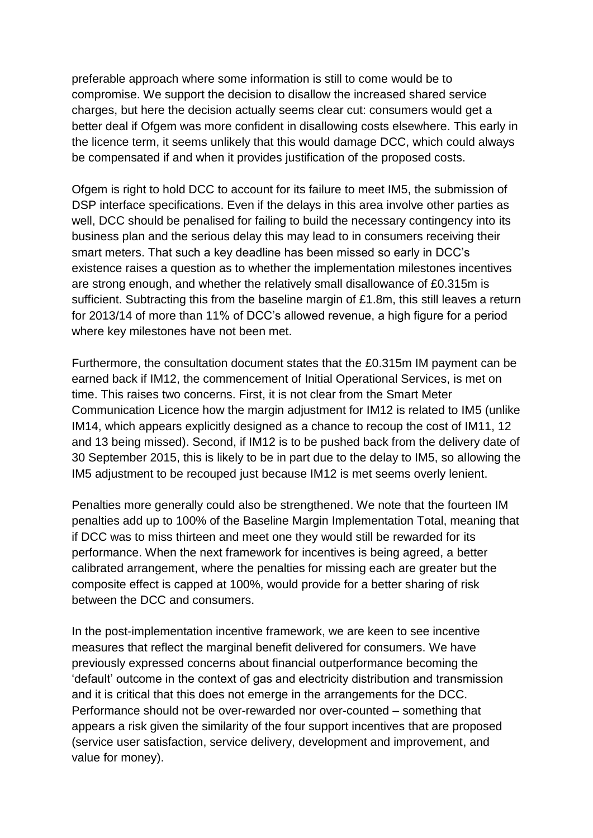preferable approach where some information is still to come would be to compromise. We support the decision to disallow the increased shared service charges, but here the decision actually seems clear cut: consumers would get a better deal if Ofgem was more confident in disallowing costs elsewhere. This early in the licence term, it seems unlikely that this would damage DCC, which could always be compensated if and when it provides justification of the proposed costs.

Ofgem is right to hold DCC to account for its failure to meet IM5, the submission of DSP interface specifications. Even if the delays in this area involve other parties as well, DCC should be penalised for failing to build the necessary contingency into its business plan and the serious delay this may lead to in consumers receiving their smart meters. That such a key deadline has been missed so early in DCC's existence raises a question as to whether the implementation milestones incentives are strong enough, and whether the relatively small disallowance of £0.315m is sufficient. Subtracting this from the baseline margin of £1.8m, this still leaves a return for 2013/14 of more than 11% of DCC's allowed revenue, a high figure for a period where key milestones have not been met.

Furthermore, the consultation document states that the £0.315m IM payment can be earned back if IM12, the commencement of Initial Operational Services, is met on time. This raises two concerns. First, it is not clear from the Smart Meter Communication Licence how the margin adjustment for IM12 is related to IM5 (unlike IM14, which appears explicitly designed as a chance to recoup the cost of IM11, 12 and 13 being missed). Second, if IM12 is to be pushed back from the delivery date of 30 September 2015, this is likely to be in part due to the delay to IM5, so allowing the IM5 adjustment to be recouped just because IM12 is met seems overly lenient.

Penalties more generally could also be strengthened. We note that the fourteen IM penalties add up to 100% of the Baseline Margin Implementation Total, meaning that if DCC was to miss thirteen and meet one they would still be rewarded for its performance. When the next framework for incentives is being agreed, a better calibrated arrangement, where the penalties for missing each are greater but the composite effect is capped at 100%, would provide for a better sharing of risk between the DCC and consumers.

In the post-implementation incentive framework, we are keen to see incentive measures that reflect the marginal benefit delivered for consumers. We have previously expressed concerns about financial outperformance becoming the 'default' outcome in the context of gas and electricity distribution and transmission and it is critical that this does not emerge in the arrangements for the DCC. Performance should not be over-rewarded nor over-counted – something that appears a risk given the similarity of the four support incentives that are proposed (service user satisfaction, service delivery, development and improvement, and value for money).